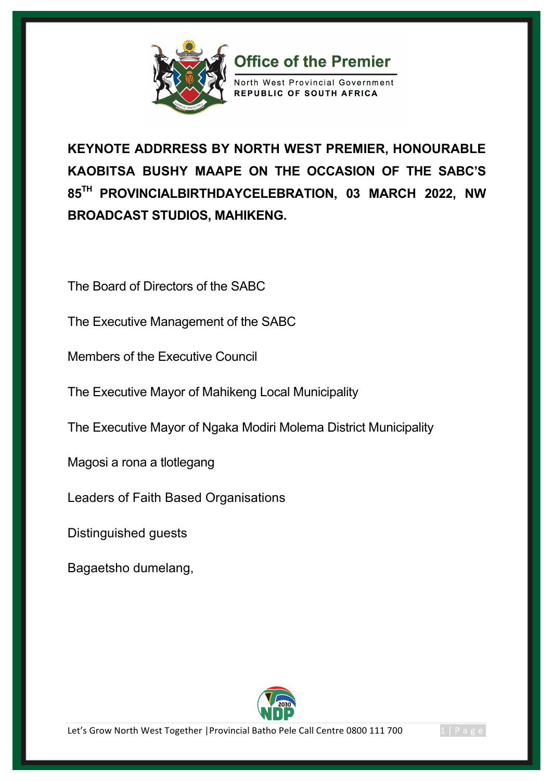

**KEYNOTE ADDRRESS BY NORTH WEST PREMIER, HONOURABLE KAOBITSA BUSHY MAAPE ON THE OCCASION OF THE SABC'S 85TH PROVINCIALBIRTHDAYCELEBRATION, 03 MARCH 2022, NW BROADCAST STUDIOS, MAHIKENG.** 

**Office of the Premier** 

North West Provincial Government REPUBLIC OF SOUTH AFRICA

The Board of Directors of the SABC

The Executive Management of the SABC

Members of the Executive Council

The Executive Mayor of Mahikeng Local Municipality

The Executive Mayor of Ngaka Modiri Molema District Municipality

Magosi a rona a tlotlegang

Leaders of Faith Based Organisations

Distinguished guests

Bagaetsho dumelang,



Let's Grow North West Together | Provincial Batho Pele Call Centre 0800 111 700 1 | Page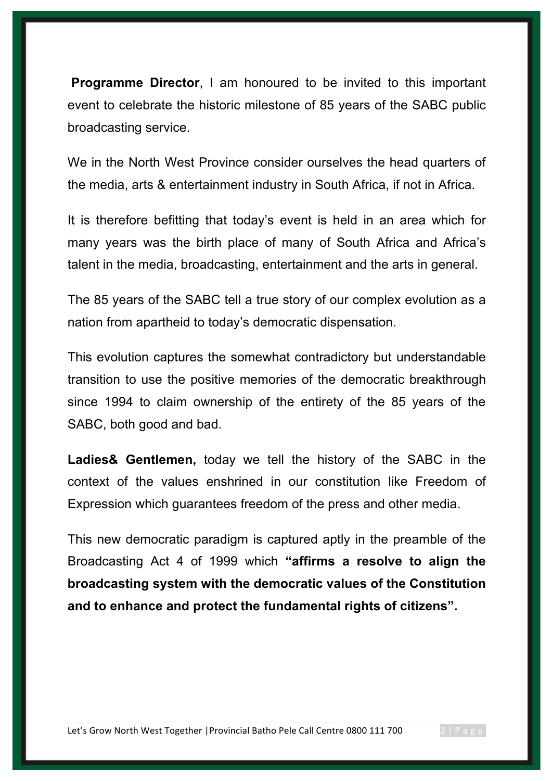**Programme Director**, I am honoured to be invited to this important event to celebrate the historic milestone of 85 years of the SABC public broadcasting service.

We in the North West Province consider ourselves the head quarters of the media, arts & entertainment industry in South Africa, if not in Africa.

It is therefore befitting that today's event is held in an area which for many years was the birth place of many of South Africa and Africa's talent in the media, broadcasting, entertainment and the arts in general.

The 85 years of the SABC tell a true story of our complex evolution as a nation from apartheid to today's democratic dispensation.

This evolution captures the somewhat contradictory but understandable transition to use the positive memories of the democratic breakthrough since 1994 to claim ownership of the entirety of the 85 years of the SABC, both good and bad.

**Ladies& Gentlemen,** today we tell the history of the SABC in the context of the values enshrined in our constitution like Freedom of Expression which guarantees freedom of the press and other media.

This new democratic paradigm is captured aptly in the preamble of the Broadcasting Act 4 of 1999 which **"affirms a resolve to align the broadcasting system with the democratic values of the Constitution and to enhance and protect the fundamental rights of citizens".**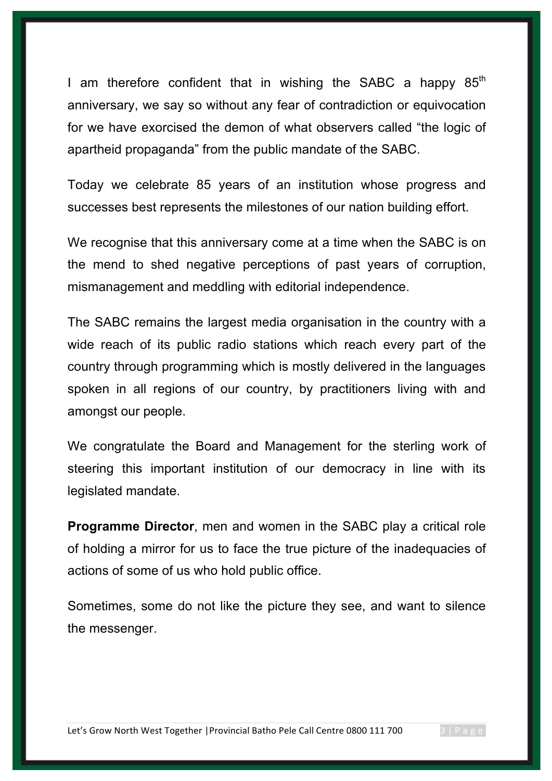I am therefore confident that in wishing the SABC a happy  $85<sup>th</sup>$ anniversary, we say so without any fear of contradiction or equivocation for we have exorcised the demon of what observers called "the logic of apartheid propaganda" from the public mandate of the SABC.

Today we celebrate 85 years of an institution whose progress and successes best represents the milestones of our nation building effort.

We recognise that this anniversary come at a time when the SABC is on the mend to shed negative perceptions of past years of corruption, mismanagement and meddling with editorial independence.

The SABC remains the largest media organisation in the country with a wide reach of its public radio stations which reach every part of the country through programming which is mostly delivered in the languages spoken in all regions of our country, by practitioners living with and amongst our people.

We congratulate the Board and Management for the sterling work of steering this important institution of our democracy in line with its legislated mandate.

**Programme Director, men and women in the SABC play a critical role** of holding a mirror for us to face the true picture of the inadequacies of actions of some of us who hold public office.

Sometimes, some do not like the picture they see, and want to silence the messenger.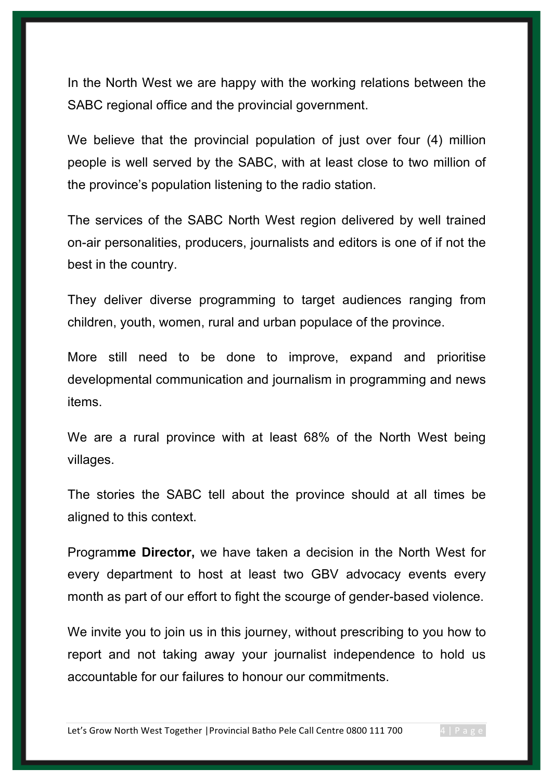In the North West we are happy with the working relations between the SABC regional office and the provincial government.

We believe that the provincial population of just over four (4) million people is well served by the SABC, with at least close to two million of the province's population listening to the radio station.

The services of the SABC North West region delivered by well trained on-air personalities, producers, journalists and editors is one of if not the best in the country.

They deliver diverse programming to target audiences ranging from children, youth, women, rural and urban populace of the province.

More still need to be done to improve, expand and prioritise developmental communication and journalism in programming and news items.

We are a rural province with at least 68% of the North West being villages.

The stories the SABC tell about the province should at all times be aligned to this context.

Program**me Director,** we have taken a decision in the North West for every department to host at least two GBV advocacy events every month as part of our effort to fight the scourge of gender-based violence.

We invite you to join us in this journey, without prescribing to you how to report and not taking away your journalist independence to hold us accountable for our failures to honour our commitments.